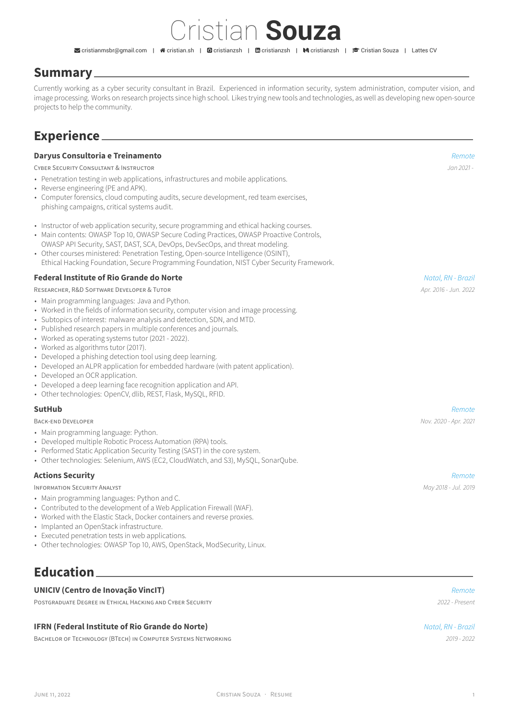#### [cristianmsbr@gmail.com](mailto:cristianmsbr@gmail.com) | [cristian.sh](http://cristian.sh) | [cristianzsh](https://github.com/cristianzsh) | [cristianzsh](https://www.linkedin.com/in/cristianzsh) | [cristianzsh](https://medium.com/@cristianzsh) | [Cristian Souza](https://scholar.google.com/citations?user=_WNlKfMAAAAJ&hl) | [Lattes CV](http://lattes.cnpq.br/1730808003029865)

Cristian **Souza**

### <span id="page-0-0"></span>**Summary**

Currently working as a cyber security consultant in Brazil. Experienced in information security, system administration, computer vision, and image processing. Works on research projects since high school. Likes trying new tools and technologies, as well as developing new open-source projects to help the community.

## **Eyneriance**

| Daryus Consultoria e Treinamento<br>Remote<br><b>CYBER SECURITY CONSULTANT &amp; INSTRUCTOR</b><br>Jan 2021 -<br>• Penetration testing in web applications, infrastructures and mobile applications.<br>• Reverse engineering (PE and APK).<br>• Computer forensics, cloud computing audits, secure development, red team exercises,<br>phishing campaigns, critical systems audit.<br>• Instructor of web application security, secure programming and ethical hacking courses.<br>• Main contents: OWASP Top 10, OWASP Secure Coding Practices, OWASP Proactive Controls,<br>OWASP API Security, SAST, DAST, SCA, DevOps, DevSecOps, and threat modeling.<br>• Other courses ministered: Penetration Testing, Open-source Intelligence (OSINT),<br>Ethical Hacking Foundation, Secure Programming Foundation, NIST Cyber Security Framework.<br><b>Federal Institute of Rio Grande do Norte</b><br>Natal, RN - Brazil<br>RESEARCHER, R&D SOFTWARE DEVELOPER & TUTOR<br>Apr. 2016 - Jun. 2022<br>• Main programming languages: Java and Python.<br>• Worked in the fields of information security, computer vision and image processing.<br>• Subtopics of interest: malware analysis and detection, SDN, and MTD.<br>• Published research papers in multiple conferences and journals.<br>• Worked as operating systems tutor (2021 - 2022).<br>• Worked as algorithms tutor (2017).<br>• Developed a phishing detection tool using deep learning.<br>• Developed an ALPR application for embedded hardware (with patent application).<br>• Developed an OCR application.<br>• Developed a deep learning face recognition application and API.<br>• Other technologies: OpenCV, dlib, REST, Flask, MySQL, RFID.<br><b>SutHub</b><br>Remote<br>Nov. 2020 - Apr. 2021<br><b>BACK-END DEVELOPER</b><br>• Main programming language: Python.<br>• Developed multiple Robotic Process Automation (RPA) tools.<br>• Performed Static Application Security Testing (SAST) in the core system.<br>• Other technologies: Selenium, AWS (EC2, CloudWatch, and S3), MySQL, SonarQube.<br><b>Actions Security</b><br>Remote<br><b>INFORMATION SECURITY ANALYST</b><br>May 2018 - Jul. 2019<br>• Main programming languages: Python and C. | <b>FVALISHEE</b>                                                   |  |
|---------------------------------------------------------------------------------------------------------------------------------------------------------------------------------------------------------------------------------------------------------------------------------------------------------------------------------------------------------------------------------------------------------------------------------------------------------------------------------------------------------------------------------------------------------------------------------------------------------------------------------------------------------------------------------------------------------------------------------------------------------------------------------------------------------------------------------------------------------------------------------------------------------------------------------------------------------------------------------------------------------------------------------------------------------------------------------------------------------------------------------------------------------------------------------------------------------------------------------------------------------------------------------------------------------------------------------------------------------------------------------------------------------------------------------------------------------------------------------------------------------------------------------------------------------------------------------------------------------------------------------------------------------------------------------------------------------------------------------------------------------------------------------------------------------------------------------------------------------------------------------------------------------------------------------------------------------------------------------------------------------------------------------------------------------------------------------------------------------------------------------------------------------------------------------------------------------------------------------|--------------------------------------------------------------------|--|
|                                                                                                                                                                                                                                                                                                                                                                                                                                                                                                                                                                                                                                                                                                                                                                                                                                                                                                                                                                                                                                                                                                                                                                                                                                                                                                                                                                                                                                                                                                                                                                                                                                                                                                                                                                                                                                                                                                                                                                                                                                                                                                                                                                                                                                 |                                                                    |  |
|                                                                                                                                                                                                                                                                                                                                                                                                                                                                                                                                                                                                                                                                                                                                                                                                                                                                                                                                                                                                                                                                                                                                                                                                                                                                                                                                                                                                                                                                                                                                                                                                                                                                                                                                                                                                                                                                                                                                                                                                                                                                                                                                                                                                                                 |                                                                    |  |
|                                                                                                                                                                                                                                                                                                                                                                                                                                                                                                                                                                                                                                                                                                                                                                                                                                                                                                                                                                                                                                                                                                                                                                                                                                                                                                                                                                                                                                                                                                                                                                                                                                                                                                                                                                                                                                                                                                                                                                                                                                                                                                                                                                                                                                 |                                                                    |  |
|                                                                                                                                                                                                                                                                                                                                                                                                                                                                                                                                                                                                                                                                                                                                                                                                                                                                                                                                                                                                                                                                                                                                                                                                                                                                                                                                                                                                                                                                                                                                                                                                                                                                                                                                                                                                                                                                                                                                                                                                                                                                                                                                                                                                                                 |                                                                    |  |
|                                                                                                                                                                                                                                                                                                                                                                                                                                                                                                                                                                                                                                                                                                                                                                                                                                                                                                                                                                                                                                                                                                                                                                                                                                                                                                                                                                                                                                                                                                                                                                                                                                                                                                                                                                                                                                                                                                                                                                                                                                                                                                                                                                                                                                 |                                                                    |  |
|                                                                                                                                                                                                                                                                                                                                                                                                                                                                                                                                                                                                                                                                                                                                                                                                                                                                                                                                                                                                                                                                                                                                                                                                                                                                                                                                                                                                                                                                                                                                                                                                                                                                                                                                                                                                                                                                                                                                                                                                                                                                                                                                                                                                                                 |                                                                    |  |
|                                                                                                                                                                                                                                                                                                                                                                                                                                                                                                                                                                                                                                                                                                                                                                                                                                                                                                                                                                                                                                                                                                                                                                                                                                                                                                                                                                                                                                                                                                                                                                                                                                                                                                                                                                                                                                                                                                                                                                                                                                                                                                                                                                                                                                 |                                                                    |  |
|                                                                                                                                                                                                                                                                                                                                                                                                                                                                                                                                                                                                                                                                                                                                                                                                                                                                                                                                                                                                                                                                                                                                                                                                                                                                                                                                                                                                                                                                                                                                                                                                                                                                                                                                                                                                                                                                                                                                                                                                                                                                                                                                                                                                                                 |                                                                    |  |
|                                                                                                                                                                                                                                                                                                                                                                                                                                                                                                                                                                                                                                                                                                                                                                                                                                                                                                                                                                                                                                                                                                                                                                                                                                                                                                                                                                                                                                                                                                                                                                                                                                                                                                                                                                                                                                                                                                                                                                                                                                                                                                                                                                                                                                 |                                                                    |  |
|                                                                                                                                                                                                                                                                                                                                                                                                                                                                                                                                                                                                                                                                                                                                                                                                                                                                                                                                                                                                                                                                                                                                                                                                                                                                                                                                                                                                                                                                                                                                                                                                                                                                                                                                                                                                                                                                                                                                                                                                                                                                                                                                                                                                                                 |                                                                    |  |
|                                                                                                                                                                                                                                                                                                                                                                                                                                                                                                                                                                                                                                                                                                                                                                                                                                                                                                                                                                                                                                                                                                                                                                                                                                                                                                                                                                                                                                                                                                                                                                                                                                                                                                                                                                                                                                                                                                                                                                                                                                                                                                                                                                                                                                 |                                                                    |  |
|                                                                                                                                                                                                                                                                                                                                                                                                                                                                                                                                                                                                                                                                                                                                                                                                                                                                                                                                                                                                                                                                                                                                                                                                                                                                                                                                                                                                                                                                                                                                                                                                                                                                                                                                                                                                                                                                                                                                                                                                                                                                                                                                                                                                                                 |                                                                    |  |
|                                                                                                                                                                                                                                                                                                                                                                                                                                                                                                                                                                                                                                                                                                                                                                                                                                                                                                                                                                                                                                                                                                                                                                                                                                                                                                                                                                                                                                                                                                                                                                                                                                                                                                                                                                                                                                                                                                                                                                                                                                                                                                                                                                                                                                 |                                                                    |  |
|                                                                                                                                                                                                                                                                                                                                                                                                                                                                                                                                                                                                                                                                                                                                                                                                                                                                                                                                                                                                                                                                                                                                                                                                                                                                                                                                                                                                                                                                                                                                                                                                                                                                                                                                                                                                                                                                                                                                                                                                                                                                                                                                                                                                                                 |                                                                    |  |
|                                                                                                                                                                                                                                                                                                                                                                                                                                                                                                                                                                                                                                                                                                                                                                                                                                                                                                                                                                                                                                                                                                                                                                                                                                                                                                                                                                                                                                                                                                                                                                                                                                                                                                                                                                                                                                                                                                                                                                                                                                                                                                                                                                                                                                 |                                                                    |  |
|                                                                                                                                                                                                                                                                                                                                                                                                                                                                                                                                                                                                                                                                                                                                                                                                                                                                                                                                                                                                                                                                                                                                                                                                                                                                                                                                                                                                                                                                                                                                                                                                                                                                                                                                                                                                                                                                                                                                                                                                                                                                                                                                                                                                                                 |                                                                    |  |
|                                                                                                                                                                                                                                                                                                                                                                                                                                                                                                                                                                                                                                                                                                                                                                                                                                                                                                                                                                                                                                                                                                                                                                                                                                                                                                                                                                                                                                                                                                                                                                                                                                                                                                                                                                                                                                                                                                                                                                                                                                                                                                                                                                                                                                 |                                                                    |  |
|                                                                                                                                                                                                                                                                                                                                                                                                                                                                                                                                                                                                                                                                                                                                                                                                                                                                                                                                                                                                                                                                                                                                                                                                                                                                                                                                                                                                                                                                                                                                                                                                                                                                                                                                                                                                                                                                                                                                                                                                                                                                                                                                                                                                                                 |                                                                    |  |
|                                                                                                                                                                                                                                                                                                                                                                                                                                                                                                                                                                                                                                                                                                                                                                                                                                                                                                                                                                                                                                                                                                                                                                                                                                                                                                                                                                                                                                                                                                                                                                                                                                                                                                                                                                                                                                                                                                                                                                                                                                                                                                                                                                                                                                 |                                                                    |  |
|                                                                                                                                                                                                                                                                                                                                                                                                                                                                                                                                                                                                                                                                                                                                                                                                                                                                                                                                                                                                                                                                                                                                                                                                                                                                                                                                                                                                                                                                                                                                                                                                                                                                                                                                                                                                                                                                                                                                                                                                                                                                                                                                                                                                                                 |                                                                    |  |
|                                                                                                                                                                                                                                                                                                                                                                                                                                                                                                                                                                                                                                                                                                                                                                                                                                                                                                                                                                                                                                                                                                                                                                                                                                                                                                                                                                                                                                                                                                                                                                                                                                                                                                                                                                                                                                                                                                                                                                                                                                                                                                                                                                                                                                 |                                                                    |  |
|                                                                                                                                                                                                                                                                                                                                                                                                                                                                                                                                                                                                                                                                                                                                                                                                                                                                                                                                                                                                                                                                                                                                                                                                                                                                                                                                                                                                                                                                                                                                                                                                                                                                                                                                                                                                                                                                                                                                                                                                                                                                                                                                                                                                                                 |                                                                    |  |
|                                                                                                                                                                                                                                                                                                                                                                                                                                                                                                                                                                                                                                                                                                                                                                                                                                                                                                                                                                                                                                                                                                                                                                                                                                                                                                                                                                                                                                                                                                                                                                                                                                                                                                                                                                                                                                                                                                                                                                                                                                                                                                                                                                                                                                 |                                                                    |  |
|                                                                                                                                                                                                                                                                                                                                                                                                                                                                                                                                                                                                                                                                                                                                                                                                                                                                                                                                                                                                                                                                                                                                                                                                                                                                                                                                                                                                                                                                                                                                                                                                                                                                                                                                                                                                                                                                                                                                                                                                                                                                                                                                                                                                                                 |                                                                    |  |
|                                                                                                                                                                                                                                                                                                                                                                                                                                                                                                                                                                                                                                                                                                                                                                                                                                                                                                                                                                                                                                                                                                                                                                                                                                                                                                                                                                                                                                                                                                                                                                                                                                                                                                                                                                                                                                                                                                                                                                                                                                                                                                                                                                                                                                 |                                                                    |  |
|                                                                                                                                                                                                                                                                                                                                                                                                                                                                                                                                                                                                                                                                                                                                                                                                                                                                                                                                                                                                                                                                                                                                                                                                                                                                                                                                                                                                                                                                                                                                                                                                                                                                                                                                                                                                                                                                                                                                                                                                                                                                                                                                                                                                                                 |                                                                    |  |
|                                                                                                                                                                                                                                                                                                                                                                                                                                                                                                                                                                                                                                                                                                                                                                                                                                                                                                                                                                                                                                                                                                                                                                                                                                                                                                                                                                                                                                                                                                                                                                                                                                                                                                                                                                                                                                                                                                                                                                                                                                                                                                                                                                                                                                 |                                                                    |  |
|                                                                                                                                                                                                                                                                                                                                                                                                                                                                                                                                                                                                                                                                                                                                                                                                                                                                                                                                                                                                                                                                                                                                                                                                                                                                                                                                                                                                                                                                                                                                                                                                                                                                                                                                                                                                                                                                                                                                                                                                                                                                                                                                                                                                                                 | Contributed to the development of a Web Application Firewall (WAE) |  |

- Contributed to the development of a Web Application Firewall (WAF). • Worked with the Elastic Stack, Docker containers and reverse proxies.
- 
- Implanted an OpenStack infrastructure.
- Executed penetration tests in web applications. • Other technologies: OWASP Top 10, AWS, OpenStack, ModSecurity, Linux.

### **Education**

### **UNICIV (Centro de Inovação VincIT)** *Remote*

POSTGRADUATE DEGREE IN ETHICAL HACKING AND CYBER SECURITY *2022 - Present*

#### **IFRN (Federal Institute of Rio Grande do Norte)** *Natal, RN - Brazil*

BACHELOR OF TECHNOLOGY (BTECH) IN COMPUTER SYSTEMS NETWORKING *2019 - 2022*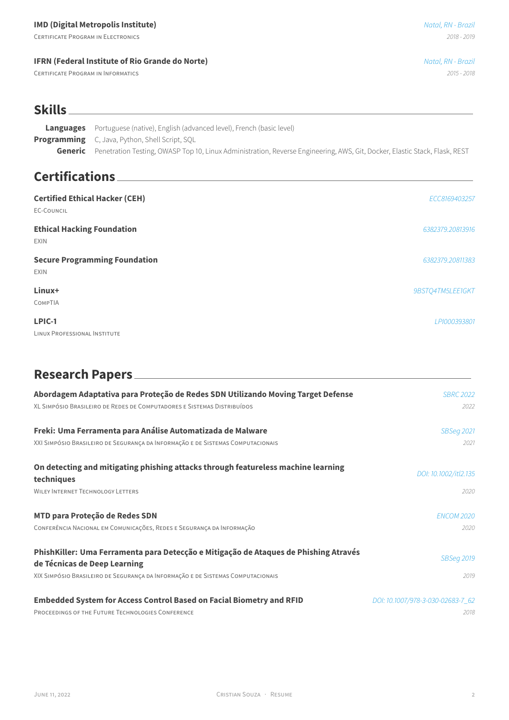### **IMD (Digital Metropolis Institute)** *Natal, RN - Brazil*

CERTIFICATE PROGRAM IN ELECTRONICS *2018 - 2019*

### **IFRN (Federal Institute of Rio Grande do Norte)** *Natal, RN - Brazil*

CERTIFICATE PROGRAM IN INFORMATICS *2015 - 2018*

### **Skills**

**Languages** Portuguese (native), English (advanced level), French (basic level) **Programming** C, Java, Python, Shell Script, SQL **Generic** Penetration Testing, OWASP Top 10, Linux Administration, Reverse Engineering, AWS, Git, Docker, Elastic Stack, Flask, REST

## **Certifications**

| <b>Certified Ethical Hacker (CEH)</b><br><b>EC-COUNCIL</b> | ECC8169403257    |
|------------------------------------------------------------|------------------|
| <b>Ethical Hacking Foundation</b><br><b>EXIN</b>           | 6382379.20813916 |
| <b>Secure Programming Foundation</b><br><b>EXIN</b>        | 6382379.20811383 |
| Linux+<br>COMPTIA                                          | 9BSTQ4TM5LEE1GKT |
| LPIC-1<br>LINUX PROFESSIONAL INSTITUTE                     | LPI000393801     |

| <b>Research Papers</b>                                                                                               |                                   |
|----------------------------------------------------------------------------------------------------------------------|-----------------------------------|
| Abordagem Adaptativa para Proteção de Redes SDN Utilizando Moving Target Defense                                     | <b>SBRC 2022</b>                  |
| XL SIMPÓSIO BRASILEIRO DE REDES DE COMPUTADORES E SISTEMAS DISTRIBUÍDOS                                              | 2022                              |
| Freki: Uma Ferramenta para Análise Automatizada de Malware                                                           | <b>SBSeq 2021</b>                 |
| XXI SIMPÓSIO BRASILEIRO DE SEGURANÇA DA INFORMAÇÃO E DE SISTEMAS COMPUTACIONAIS                                      | 2021                              |
| On detecting and mitigating phishing attacks through featureless machine learning<br>techniques                      | DOI: 10.1002/itl2.135             |
| <b>WILEY INTERNET TECHNOLOGY LETTERS</b>                                                                             | 2020                              |
| MTD para Proteção de Redes SDN                                                                                       | <b>FNCOM 2020</b>                 |
| CONFERÊNCIA NACIONAL EM COMUNICAÇÕES, REDES E SEGURANÇA DA INFORMAÇÃO                                                | 2020                              |
| PhishKiller: Uma Ferramenta para Detecção e Mitigação de Ataques de Phishing Através<br>de Técnicas de Deep Learning | <b>SBSeq 2019</b>                 |
| XIX SIMPÓSIO BRASILEIRO DE SEGURANÇA DA INFORMAÇÃO E DE SISTEMAS COMPUTACIONAIS                                      | 2019                              |
| <b>Embedded System for Access Control Based on Facial Biometry and RFID</b>                                          | DOI: 10.1007/978-3-030-02683-7_62 |
| PROCEEDINGS OF THE FUTURE TECHNOLOGIES CONFERENCE                                                                    | 2018                              |